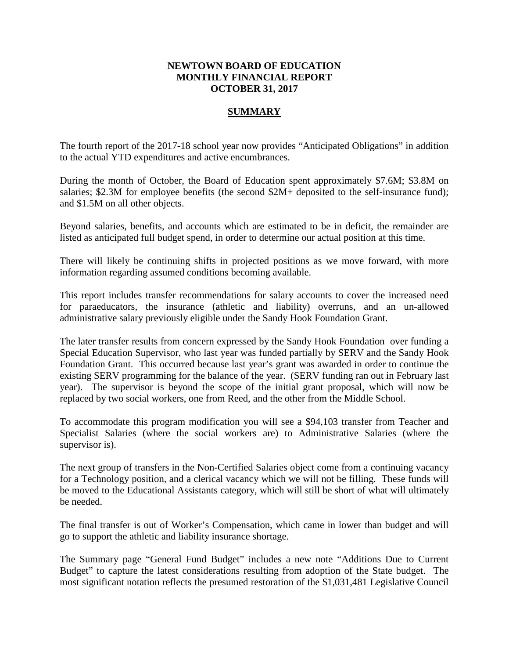## **NEWTOWN BOARD OF EDUCATION MONTHLY FINANCIAL REPORT OCTOBER 31, 2017**

## **SUMMARY**

The fourth report of the 2017-18 school year now provides "Anticipated Obligations" in addition to the actual YTD expenditures and active encumbrances.

During the month of October, the Board of Education spent approximately \$7.6M; \$3.8M on salaries; \$2.3M for employee benefits (the second \$2M+ deposited to the self-insurance fund); and \$1.5M on all other objects.

Beyond salaries, benefits, and accounts which are estimated to be in deficit, the remainder are listed as anticipated full budget spend, in order to determine our actual position at this time.

There will likely be continuing shifts in projected positions as we move forward, with more information regarding assumed conditions becoming available.

This report includes transfer recommendations for salary accounts to cover the increased need for paraeducators, the insurance (athletic and liability) overruns, and an un-allowed administrative salary previously eligible under the Sandy Hook Foundation Grant.

The later transfer results from concern expressed by the Sandy Hook Foundation over funding a Special Education Supervisor, who last year was funded partially by SERV and the Sandy Hook Foundation Grant. This occurred because last year's grant was awarded in order to continue the existing SERV programming for the balance of the year. (SERV funding ran out in February last year). The supervisor is beyond the scope of the initial grant proposal, which will now be replaced by two social workers, one from Reed, and the other from the Middle School.

To accommodate this program modification you will see a \$94,103 transfer from Teacher and Specialist Salaries (where the social workers are) to Administrative Salaries (where the supervisor is).

The next group of transfers in the Non-Certified Salaries object come from a continuing vacancy for a Technology position, and a clerical vacancy which we will not be filling. These funds will be moved to the Educational Assistants category, which will still be short of what will ultimately be needed.

The final transfer is out of Worker's Compensation, which came in lower than budget and will go to support the athletic and liability insurance shortage.

The Summary page "General Fund Budget" includes a new note "Additions Due to Current Budget" to capture the latest considerations resulting from adoption of the State budget. The most significant notation reflects the presumed restoration of the \$1,031,481 Legislative Council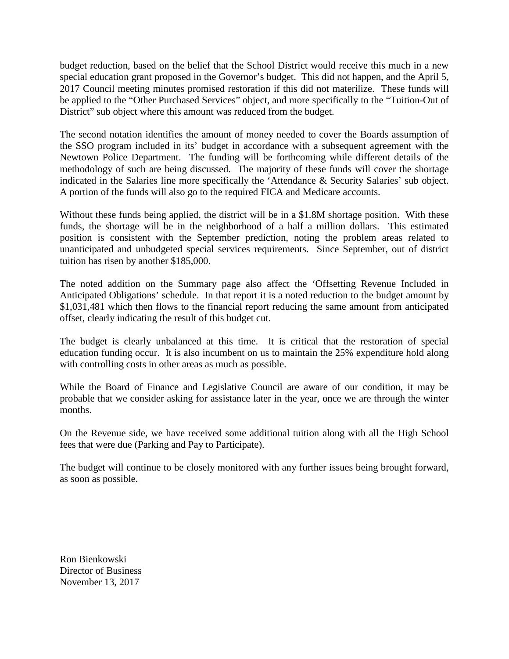budget reduction, based on the belief that the School District would receive this much in a new special education grant proposed in the Governor's budget. This did not happen, and the April 5, 2017 Council meeting minutes promised restoration if this did not materilize. These funds will be applied to the "Other Purchased Services" object, and more specifically to the "Tuition-Out of District" sub object where this amount was reduced from the budget.

The second notation identifies the amount of money needed to cover the Boards assumption of the SSO program included in its' budget in accordance with a subsequent agreement with the Newtown Police Department. The funding will be forthcoming while different details of the methodology of such are being discussed. The majority of these funds will cover the shortage indicated in the Salaries line more specifically the 'Attendance & Security Salaries' sub object. A portion of the funds will also go to the required FICA and Medicare accounts.

Without these funds being applied, the district will be in a \$1.8M shortage position. With these funds, the shortage will be in the neighborhood of a half a million dollars. This estimated position is consistent with the September prediction, noting the problem areas related to unanticipated and unbudgeted special services requirements. Since September, out of district tuition has risen by another \$185,000.

The noted addition on the Summary page also affect the 'Offsetting Revenue Included in Anticipated Obligations' schedule. In that report it is a noted reduction to the budget amount by \$1,031,481 which then flows to the financial report reducing the same amount from anticipated offset, clearly indicating the result of this budget cut.

The budget is clearly unbalanced at this time. It is critical that the restoration of special education funding occur. It is also incumbent on us to maintain the 25% expenditure hold along with controlling costs in other areas as much as possible.

While the Board of Finance and Legislative Council are aware of our condition, it may be probable that we consider asking for assistance later in the year, once we are through the winter months.

On the Revenue side, we have received some additional tuition along with all the High School fees that were due (Parking and Pay to Participate).

The budget will continue to be closely monitored with any further issues being brought forward, as soon as possible.

Ron Bienkowski Director of Business November 13, 2017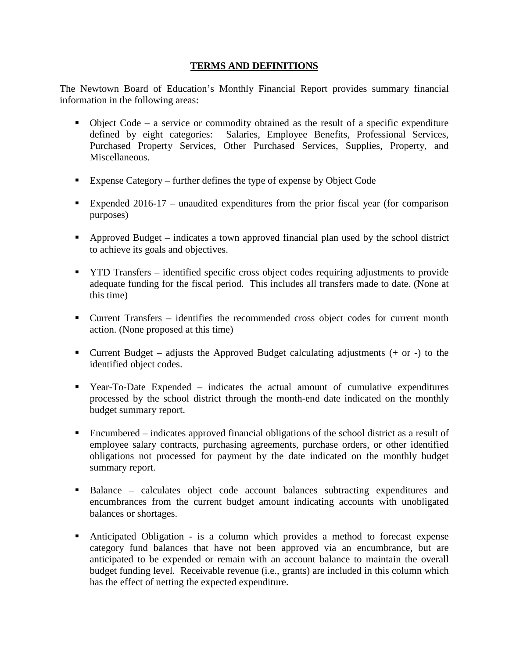## **TERMS AND DEFINITIONS**

The Newtown Board of Education's Monthly Financial Report provides summary financial information in the following areas:

- $\bullet$  Object Code a service or commodity obtained as the result of a specific expenditure defined by eight categories: Salaries, Employee Benefits, Professional Services, Purchased Property Services, Other Purchased Services, Supplies, Property, and Miscellaneous.
- Expense Category further defines the type of expense by Object Code
- Expended 2016-17 unaudited expenditures from the prior fiscal year (for comparison purposes)
- Approved Budget indicates a town approved financial plan used by the school district to achieve its goals and objectives.
- YTD Transfers identified specific cross object codes requiring adjustments to provide adequate funding for the fiscal period. This includes all transfers made to date. (None at this time)
- Current Transfers identifies the recommended cross object codes for current month action. (None proposed at this time)
- Current Budget adjusts the Approved Budget calculating adjustments  $(+)$  or  $-)$  to the identified object codes.
- Year-To-Date Expended indicates the actual amount of cumulative expenditures processed by the school district through the month-end date indicated on the monthly budget summary report.
- Encumbered indicates approved financial obligations of the school district as a result of employee salary contracts, purchasing agreements, purchase orders, or other identified obligations not processed for payment by the date indicated on the monthly budget summary report.
- Balance calculates object code account balances subtracting expenditures and encumbrances from the current budget amount indicating accounts with unobligated balances or shortages.
- Anticipated Obligation is a column which provides a method to forecast expense category fund balances that have not been approved via an encumbrance, but are anticipated to be expended or remain with an account balance to maintain the overall budget funding level. Receivable revenue (i.e., grants) are included in this column which has the effect of netting the expected expenditure.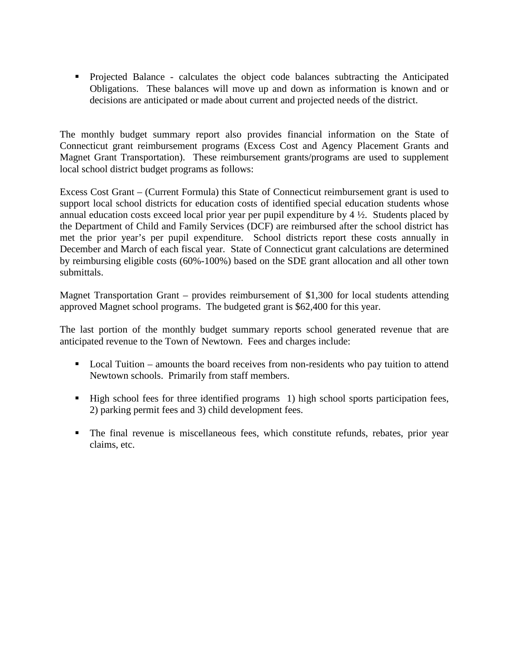Projected Balance - calculates the object code balances subtracting the Anticipated Obligations. These balances will move up and down as information is known and or decisions are anticipated or made about current and projected needs of the district.

The monthly budget summary report also provides financial information on the State of Connecticut grant reimbursement programs (Excess Cost and Agency Placement Grants and Magnet Grant Transportation). These reimbursement grants/programs are used to supplement local school district budget programs as follows:

Excess Cost Grant – (Current Formula) this State of Connecticut reimbursement grant is used to support local school districts for education costs of identified special education students whose annual education costs exceed local prior year per pupil expenditure by 4 ½. Students placed by the Department of Child and Family Services (DCF) are reimbursed after the school district has met the prior year's per pupil expenditure. School districts report these costs annually in December and March of each fiscal year. State of Connecticut grant calculations are determined by reimbursing eligible costs (60%-100%) based on the SDE grant allocation and all other town submittals.

Magnet Transportation Grant – provides reimbursement of \$1,300 for local students attending approved Magnet school programs. The budgeted grant is \$62,400 for this year.

The last portion of the monthly budget summary reports school generated revenue that are anticipated revenue to the Town of Newtown. Fees and charges include:

- Local Tuition amounts the board receives from non-residents who pay tuition to attend Newtown schools. Primarily from staff members.
- $\blacksquare$  High school fees for three identified programs 1) high school sports participation fees, 2) parking permit fees and 3) child development fees.
- The final revenue is miscellaneous fees, which constitute refunds, rebates, prior year claims, etc.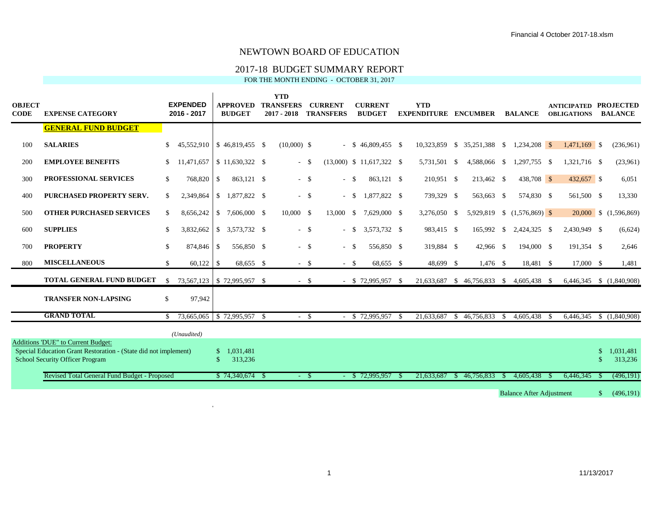## 2017-18 BUDGET SUMMARY REPORT

FOR THE MONTH ENDING - OCTOBER 31, 2017

| <b>OBJECT</b><br><b>CODE</b> | <b>EXPENSE CATEGORY</b>                                                                                                                                |               | <b>EXPENDED</b><br>2016 - 2017 |               | <b>APPROVED</b><br><b>BUDGET</b> | <b>YTD</b><br><b>TRANSFERS</b><br>$2017 - 2018$ |        | <b>CURRENT</b><br><b>TRANSFERS</b> |        | <b>CURRENT</b><br><b>BUDGET</b> |      | <b>YTD</b><br><b>EXPENDITURE</b> |      | <b>ENCUMBER</b>                        |      | <b>BALANCE</b>              |      | <b>ANTICIPATED PROJECTED</b><br><b>OBLIGATIONS</b> |     | <b>BALANCE</b>           |
|------------------------------|--------------------------------------------------------------------------------------------------------------------------------------------------------|---------------|--------------------------------|---------------|----------------------------------|-------------------------------------------------|--------|------------------------------------|--------|---------------------------------|------|----------------------------------|------|----------------------------------------|------|-----------------------------|------|----------------------------------------------------|-----|--------------------------|
|                              | <b>GENERAL FUND BUDGET</b>                                                                                                                             |               |                                |               |                                  |                                                 |        |                                    |        |                                 |      |                                  |      |                                        |      |                             |      |                                                    |     |                          |
| 100                          | <b>SALARIES</b>                                                                                                                                        | <sup>S</sup>  | 45.552.910                     |               | $$46,819,455$ \;                 | $(10,000)$ \$                                   |        |                                    |        | $-$ \$ 46,809,455 \$            |      |                                  |      | 10,323,859 \$ 35,251,388 \$            |      | $1,234,208$ \$              |      | $1,471,169$ \$                                     |     | (236,961)                |
| 200                          | <b>EMPLOYEE BENEFITS</b>                                                                                                                               | <sup>S</sup>  | 11,471,657                     |               | $$11,630,322$ \ \$               | $\sim$                                          | - \$   |                                    |        | $(13,000)$ \$ 11,617,322 \$     |      | 5,731,501 \$                     |      | 4,588,066 \$                           |      | 1,297,755 \$                |      | 1,321,716 \$                                       |     | (23,961)                 |
| 300                          | <b>PROFESSIONAL SERVICES</b>                                                                                                                           | $\mathbb{S}$  | 768,820                        | \$            | 863,121 \$                       |                                                 | $-$ \$ | $- S$                              |        | 863,121 \$                      |      | 210,951 \$                       |      | 213,462 \$                             |      | 438,708 \$                  |      | 432,657 \$                                         |     | 6,051                    |
| 400                          | PURCHASED PROPERTY SERV.                                                                                                                               | S.            | 2,349,864                      |               | $$1,877,822$ \ \$                |                                                 | $-$ \$ |                                    | $-$ \$ | 1.877.822 \$                    |      | 739,329 \$                       |      | 563,663 \$                             |      | 574,830 \$                  |      | 561,500 \$                                         |     | 13,330                   |
| 500                          | <b>OTHER PURCHASED SERVICES</b>                                                                                                                        | <sup>\$</sup> | 8,656,242                      | $\mathcal{S}$ | 7,606,000 \$                     | 10,000 \$                                       |        | 13,000                             | - \$   | 7,629,000 \$                    |      | 3,276,050                        | - \$ |                                        |      | 5,929,819 \$ (1,576,869) \$ |      |                                                    |     | 20,000 \$ (1,596,869)    |
| 600                          | <b>SUPPLIES</b>                                                                                                                                        | <sup>\$</sup> | 3,832,662                      |               | $$3,573,732$ \;                  |                                                 | $-$ \$ |                                    | $-$ \$ | 3,573,732 \$                    |      | 983,415 \$                       |      | 165,992                                | -S   | 2,424,325 \$                |      | 2,430,949 \$                                       |     | (6,624)                  |
| 700                          | <b>PROPERTY</b>                                                                                                                                        | <sup>\$</sup> | 874,846                        | <sup>\$</sup> | 556.850 \$                       |                                                 | $-$ \$ | $- S$                              |        | 556,850 \$                      |      | 319,884 \$                       |      | 42,966 \$                              |      | 194,000 \$                  |      | 191,354 \$                                         |     | 2,646                    |
| 800                          | <b>MISCELLANEOUS</b>                                                                                                                                   | S.            | 60,122                         | <sup>\$</sup> | 68,655 \$                        |                                                 | $-$ \$ | $-$ \$                             |        | 68,655 \$                       |      | 48,699 \$                        |      | $1,476$ \$                             |      | 18,481 \$                   |      | 17,000 \$                                          |     | 1,481                    |
|                              | <b>TOTAL GENERAL FUND BUDGET</b>                                                                                                                       | <sup>\$</sup> |                                |               | 73,567,123 \$72,995,957 \$       |                                                 | $-$ \$ |                                    |        | $-$ \$ 72,995,957 \$            |      | 21,633,687                       |      | $$46,756,833 \quad $4,605,438 \quad $$ |      |                             |      |                                                    |     | 6,446,345 \$ (1,840,908) |
|                              | <b>TRANSFER NON-LAPSING</b>                                                                                                                            | \$            | 97,942                         |               |                                  |                                                 |        |                                    |        |                                 |      |                                  |      |                                        |      |                             |      |                                                    |     |                          |
|                              | <b>GRAND TOTAL</b>                                                                                                                                     | -S            |                                |               | 73,665,065 \$72,995,957 \$       |                                                 | $-$ \$ |                                    |        | \$72,995,957                    | - \$ | 21,633,687                       | -S   | 46,756,833                             | - \$ | 4,605,438                   | - \$ | 6,446,345                                          |     | \$(1,840,908)            |
|                              |                                                                                                                                                        |               | (Unaudited)                    |               |                                  |                                                 |        |                                    |        |                                 |      |                                  |      |                                        |      |                             |      |                                                    |     |                          |
|                              | <b>Additions 'DUE" to Current Budget:</b><br>Special Education Grant Restoration - (State did not implement)<br><b>School Security Officer Program</b> |               |                                | <sup>\$</sup> | 1.031.481<br>313,236             |                                                 |        |                                    |        |                                 |      |                                  |      |                                        |      |                             |      |                                                    | \$. | 1,031,481<br>313,236     |
|                              | Revised Total General Fund Budget - Proposed                                                                                                           |               |                                |               | $$74,340,674$ \;                 | $\sim$                                          | - S    |                                    |        | \$72,995,957                    |      | 21,633,687                       | -S   | 46,756,833                             |      | 4.605.438                   |      | 6,446,345                                          |     | (496,191)                |
|                              |                                                                                                                                                        |               |                                |               |                                  |                                                 |        |                                    |        |                                 |      |                                  |      |                                        |      |                             |      |                                                    |     |                          |

Balance After Adjustment  $\qquad$  \$ (496,191)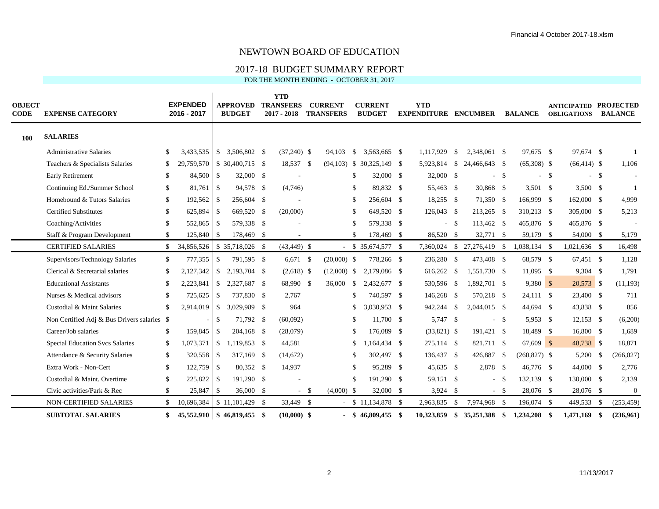## 2017-18 BUDGET SUMMARY REPORT

FOR THE MONTH ENDING - OCTOBER 31, 2017

| <b>OBJECT</b><br><b>CODE</b> | <b>EXPENSE CATEGORY</b>                     |               | <b>EXPENDED</b><br>2016 - 2017      |                          | <b>APPROVED</b><br><b>BUDGET</b>  | <b>YTD</b><br><b>TRANSFERS</b><br>$2017 - 2018$ |        | <b>CURRENT</b><br><b>TRANSFERS</b> |               | <b>CURRENT</b><br><b>BUDGET</b> | <b>YTD</b><br><b>EXPENDITURE ENCUMBER</b> |      |                            |              | <b>BALANCE</b>  | <b>ANTICIPATED PROJECTED</b><br><b>OBLIGATIONS</b> |      | <b>BALANCE</b>   |
|------------------------------|---------------------------------------------|---------------|-------------------------------------|--------------------------|-----------------------------------|-------------------------------------------------|--------|------------------------------------|---------------|---------------------------------|-------------------------------------------|------|----------------------------|--------------|-----------------|----------------------------------------------------|------|------------------|
| 100                          | <b>SALARIES</b>                             |               |                                     |                          |                                   |                                                 |        |                                    |               |                                 |                                           |      |                            |              |                 |                                                    |      |                  |
|                              | <b>Administrative Salaries</b>              | \$            | 3,433,535                           |                          | $$3,506,802$ \ \$                 | $(37,240)$ \$                                   |        | 94,103                             | <sup>\$</sup> | 3,563,665 \$                    | 1.117.929                                 | -\$  | 2,348,061 \$               |              | 97,675 \$       | 97,674 \$                                          |      | $\mathbf{1}$     |
|                              | Teachers & Specialists Salaries             | \$            | 29,759,570                          |                          | $$30,400,715$ \;                  | 18,537 \$                                       |        |                                    |               | $(94,103)$ \$ 30,325,149 \$     | 5,923,814 \$                              |      | 24,466,643 \$              |              | $(65,308)$ \$   | $(66, 414)$ \$                                     |      | 1,106            |
|                              | <b>Early Retirement</b>                     | \$            | 84,500 \$                           |                          | 32,000 \$                         |                                                 |        |                                    | <sup>\$</sup> | 32,000 \$                       | 32,000 \$                                 |      |                            | $-$ \$       | $-$ \$          | $-$ \$                                             |      |                  |
|                              | Continuing Ed./Summer School                | \$            | 81.761                              | $\overline{\phantom{a}}$ | 94,578 \$                         | (4,746)                                         |        |                                    | <sup>\$</sup> | 89,832 \$                       | 55,463 \$                                 |      | 30,868 \$                  |              | $3,501$ \$      | $3,500$ \$                                         |      | $\overline{1}$   |
|                              | Homebound & Tutors Salaries                 | \$            | $192,562$ \$                        |                          | 256,604 \$                        |                                                 |        |                                    | <sup>\$</sup> | 256,604 \$                      | 18,255 \$                                 |      | 71,350 \$                  |              | 166,999 \$      | 162,000 \$                                         |      | 4,999            |
|                              | <b>Certified Substitutes</b>                | \$.           | 625,894 \$                          |                          | 669,520 \$                        | (20,000)                                        |        |                                    | -S            | 649,520 \$                      | 126,043 \$                                |      | 213,265 \$                 |              | 310,213 \$      | 305,000 \$                                         |      | 5,213            |
|                              | Coaching/Activities                         | \$            | 552,865 \$                          |                          | 579,338 \$                        |                                                 |        |                                    | <sup>\$</sup> | 579,338 \$                      |                                           | - \$ | 113,462 \$                 |              | 465,876 \$      | 465,876 \$                                         |      |                  |
|                              | Staff & Program Development                 | \$            | 125,840 \$                          |                          | 178,469 \$                        | $\overline{\phantom{a}}$                        |        |                                    | \$            | 178,469 \$                      | 86,520 \$                                 |      | 32,771 \$                  |              | 59,179 \$       | 54,000 \$                                          |      | 5,179            |
|                              | <b>CERTIFIED SALARIES</b>                   | <sup>\$</sup> | 34,856,526                          |                          | $$35,718,026$ \\$                 | $(43, 449)$ \$                                  |        |                                    |               | $$35,674,577$ \;                |                                           |      | 7,360,024 \$ 27,276,419 \$ |              | 1,038,134 \$    | $1,021,636$ \$                                     |      | 16,498           |
|                              | Supervisors/Technology Salaries             | \$            | 777,355                             | $\mathbb{S}$             | 791,595 \$                        | $6,671$ \$                                      |        | $(20,000)$ \$                      |               | 778,266 \$                      | 236,280 \$                                |      | 473,408 \$                 |              | 68,579 \$       | 67,451 \$                                          |      | 1,128            |
|                              | Clerical & Secretarial salaries             | \$            | $2,127,342$ \$                      |                          | 2,193,704 \$                      | $(2,618)$ \$                                    |        | $(12,000)$ \$                      |               | 2,179,086 \$                    | 616,262 \$                                |      | 1,551,730 \$               |              | 11,095 \$       | $9,304$ \$                                         |      | 1,791            |
|                              | <b>Educational Assistants</b>               | \$            | 2,223,841                           | $\mathcal{S}$            | 2,327,687 \$                      | 68,990 \$                                       |        | 36,000                             | \$            | 2,432,677 \$                    | 530,596 \$                                |      | 1,892,701 \$               |              | $9,380$ \$      | 20,573 \$                                          |      | (11, 193)        |
|                              | Nurses & Medical advisors                   | \$            | 725,625 \$                          |                          | 737,830 \$                        | 2,767                                           |        |                                    | <sup>\$</sup> | 740,597 \$                      | 146,268 \$                                |      | 570,218 \$                 |              | $24,111$ \$     | 23,400 \$                                          |      | 711              |
|                              | Custodial & Maint Salaries                  | £.            | $2,914,019$ \$                      |                          | 3,029,989 \$                      | 964                                             |        |                                    | <sup>\$</sup> | 3,030,953 \$                    | 942,244 \$                                |      | 2,044,015 \$               |              | 44,694 \$       | 43,838 \$                                          |      | 856              |
|                              | Non Certified Adj & Bus Drivers salaries \$ |               |                                     | $\mathbb{S}$             | 71,792 \$                         | (60,092)                                        |        |                                    | \$            | 11,700 \$                       | 5,747 \$                                  |      |                            | $-$ \$       | 5,953 \$        | $12,153$ \$                                        |      | (6,200)          |
|                              | Career/Job salaries                         | \$            | 159,845 \$                          |                          | $204,168$ \$                      | (28,079)                                        |        |                                    | <sup>\$</sup> | 176,089 \$                      | $(33,821)$ \$                             |      | 191,421 \$                 |              | 18,489 \$       | 16,800 \$                                          |      | 1,689            |
|                              | Special Education Svcs Salaries             | \$            | 1,073,371                           | $\vert$ \$               | 1,119,853 \$                      | 44,581                                          |        |                                    | <sup>\$</sup> | 1,164,434 \$                    | 275,114 \$                                |      | 821,711 \$                 |              | $67,609$ \$     | 48,738 \$                                          |      | 18,871           |
|                              | Attendance & Security Salaries              | \$            | 320,558 \$                          |                          | 317,169 \$                        | (14,672)                                        |        |                                    | S             | 302,497 \$                      | 136,437 \$                                |      | 426,887                    | $\mathbf{s}$ | $(260, 827)$ \$ | 5,200                                              | - \$ | (266, 027)       |
|                              | Extra Work - Non-Cert                       | \$            | $122,759$ \$                        |                          | 80,352 \$                         | 14,937                                          |        |                                    | <sup>\$</sup> | 95.289 \$                       | 45,635 \$                                 |      | 2,878 \$                   |              | 46,776 \$       | 44,000 \$                                          |      | 2,776            |
|                              | Custodial & Maint. Overtime                 | \$.           | $225,822$ \$                        |                          | 191,290 \$                        |                                                 |        |                                    | \$.           | 191,290 \$                      | 59,151 \$                                 |      | $\sim$                     | -S           | 132,139 \$      | 130,000 \$                                         |      | 2,139            |
|                              | Civic activities/Park & Rec                 | \$            | $25,847$ \\$                        |                          | 36,000 \$                         |                                                 | $-$ \$ | $(4,000)$ \$                       |               | 32,000 \$                       | $3,924$ \$                                |      |                            | $-$ \$       | 28,076 \$       | 28,076 \$                                          |      | $\boldsymbol{0}$ |
|                              | <b>NON-CERTIFIED SALARIES</b>               | S.            | $10,696,384$ \ \ \$ 11,101,429 \ \$ |                          |                                   | 33,449 \$                                       |        |                                    |               | $$11,134,878$ \;                | 2,963,835 \$                              |      | 7,974,968 \$               |              | 196,074 \$      | 449,533 \$                                         |      | (253, 459)       |
|                              | <b>SUBTOTAL SALARIES</b>                    | \$            |                                     |                          | $45,552,910$ \ \$ 46,819,455 \ \$ | $(10,000)$ \$                                   |        |                                    |               | $$46,809,455$ \$                | 10,323,859 \$                             |      | 35,251,388 \$              |              | 1,234,208 \$    | 1,471,169 \$                                       |      | (236,961)        |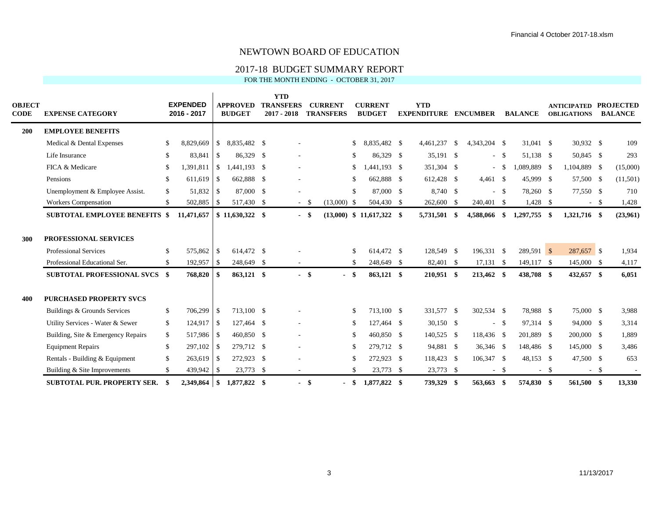## 2017-18 BUDGET SUMMARY REPORT

FOR THE MONTH ENDING - OCTOBER 31, 2017

| <b>OBJECT</b><br><b>CODE</b> | <b>EXPENSE CATEGORY</b>                                                                       |                                | <b>EXPENDED</b><br>2016 - 2017 |                | <b>APPROVED</b><br><b>BUDGET</b> | <b>YTD</b><br><b>TRANSFERS</b><br>$2017 - 2018$ |        | <b>CURRENT</b><br><b>TRANSFERS</b> |           | <b>CURRENT</b><br><b>BUDGET</b> | <b>YTD</b><br><b>EXPENDITURE</b> |      | <b>ENCUMBER</b>           |        | <b>BALANCE</b>             |        | <b>ANTICIPATED PROJECTED</b><br><b>OBLIGATIONS</b> |        | <b>BALANCE</b> |
|------------------------------|-----------------------------------------------------------------------------------------------|--------------------------------|--------------------------------|----------------|----------------------------------|-------------------------------------------------|--------|------------------------------------|-----------|---------------------------------|----------------------------------|------|---------------------------|--------|----------------------------|--------|----------------------------------------------------|--------|----------------|
| 200                          | <b>EMPLOYEE BENEFITS</b>                                                                      |                                |                                |                |                                  |                                                 |        |                                    |           |                                 |                                  |      |                           |        |                            |        |                                                    |        |                |
|                              | Medical & Dental Expenses                                                                     | <sup>\$</sup>                  | 8,829,669                      | <sup>S</sup>   | 8,835,482 \$                     |                                                 |        |                                    | \$        | 835,482 \$<br>-8.               | 4,461,237                        | - \$ | 4,343,204 \$              |        | 31.041 \$                  |        | 30,932 \$                                          |        | 109            |
|                              | Life Insurance                                                                                | -S                             | 83,841                         | $\overline{1}$ | 86,329 \$                        |                                                 |        |                                    | \$        | 86,329 \$                       | $35,191$ \$                      |      |                           | $-$ \$ | 51,138 \$                  |        | 50,845 \$                                          |        | 293            |
|                              | FICA & Medicare                                                                               | <sup>\$</sup>                  | 1,391,811                      | $\vert$ \$     | 1,441,193 \$                     |                                                 |        |                                    |           | $,441,193$ \$                   | 351,304 \$                       |      | $\blacksquare$            | - \$   | 1,089,889 \$               |        | 1,104,889 \$                                       |        | (15,000)       |
|                              | Pensions                                                                                      | <sup>\$</sup>                  | $611,619$ \$                   |                | 662,888 \$                       |                                                 |        |                                    | \$        | 662,888 \$                      | 612,428 \$                       |      | $4,461$ \$                |        | 45,999 \$                  |        | 57,500 \$                                          |        | (11,501)       |
|                              | Unemployment & Employee Assist.                                                               | <sup>\$</sup>                  |                                |                | 87,000 \$                        |                                                 |        |                                    | \$        | 87,000 \$                       | 8,740 \$                         |      |                           | $-$ \$ | 78,260 \$                  |        | 77,550 \$                                          |        | 710            |
|                              | Workers Compensation                                                                          | S                              | 502,885 \$                     |                | 517,430 \$                       |                                                 | $-$ \$ | $(13,000)$ \$                      |           | 504,430 \$                      | 262,600 \$                       |      | 240,401 \$                |        | $1,428$ \$                 |        |                                                    | $-$ \$ | 1,428          |
|                              | <b>SUBTOTAL EMPLOYEE BENEFITS \$</b>                                                          |                                | 11,471,657                     |                | $$11,630,322$ \,                 |                                                 | - \$   |                                    |           | $(13,000)$ \$ 11,617,322 \$     | 5,731,501 \$                     |      | 4,588,066 \$              |        | 1,297,755                  | - \$   | 1,321,716 \$                                       |        | (23,961)       |
| 300                          | <b>PROFESSIONAL SERVICES</b><br><b>Professional Services</b><br>Professional Educational Ser. | <sup>\$</sup><br><sup>\$</sup> | 575,862 \$<br>$192,957$ \$     |                | 614,472 \$<br>248,649 \$         |                                                 |        |                                    | \$<br>\$. | 614,472 \$<br>248,649 \$        | 128,549 \$<br>82,401 \$          |      | 196,331 \$<br>$17,131$ \$ |        | $289,591$ \$<br>149,117 \$ |        | 287,657 \$<br>145,000 \$                           |        | 1,934<br>4,117 |
|                              | <b>SUBTOTAL PROFESSIONAL SVCS \$</b>                                                          |                                | 768,820                        | -\$            | 863,121 \$                       |                                                 | $-$ \$ | - \$                               |           | 863,121 \$                      | 210,951 \$                       |      | 213,462 \$                |        | 438,708 \$                 |        | 432,657 \$                                         |        | 6,051          |
| 400                          | <b>PURCHASED PROPERTY SVCS</b>                                                                |                                |                                |                |                                  |                                                 |        |                                    |           |                                 |                                  |      |                           |        |                            |        |                                                    |        |                |
|                              | Buildings & Grounds Services                                                                  | \$                             | 706,299 \$                     |                | 713,100 \$                       |                                                 |        |                                    | \$        | 713,100 \$                      | 331,577 \$                       |      | 302,534 \$                |        | 78,988 \$                  |        | 75,000 \$                                          |        | 3,988          |
|                              | Utility Services - Water & Sewer                                                              | \$                             | $124,917$ \$                   |                | 127,464 \$                       |                                                 |        |                                    | \$        | 127,464 \$                      | $30,150$ \$                      |      |                           | $-$ \$ | 97,314 \$                  |        | 94,000 \$                                          |        | 3,314          |
|                              | Building, Site & Emergency Repairs                                                            | \$                             | 517,986 \$                     |                | 460,850 \$                       |                                                 |        |                                    | \$        | 460,850 \$                      | 140,525 \$                       |      | 118,436 \$                |        | 201,889 \$                 |        | 200,000 \$                                         |        | 1,889          |
|                              | <b>Equipment Repairs</b>                                                                      | \$                             | 297,102 \$                     |                | 279,712 \$                       | $\overline{\phantom{a}}$                        |        |                                    | \$        | 279,712 \$                      | 94,881 \$                        |      | 36,346 \$                 |        | 148,486 \$                 |        | 145,000 \$                                         |        | 3,486          |
|                              | Rentals - Building & Equipment                                                                | \$                             | 263,619 \$                     |                | 272,923 \$                       |                                                 |        |                                    | \$        | 272,923 \$                      | 118,423 \$                       |      | 106,347 \$                |        | 48,153 \$                  |        | 47,500 \$                                          |        | 653            |
|                              | Building & Site Improvements                                                                  | <sup>\$</sup>                  | $439,942$ \$                   |                | 23,773 \$                        | $\overline{\phantom{a}}$                        |        |                                    | \$        | 23,773 \$                       | 23,773 \$                        |      | $\sim$                    | - \$   |                            | $-$ \$ |                                                    | $-$ \$ |                |
|                              | <b>SUBTOTAL PUR. PROPERTY SER.</b>                                                            |                                |                                |                | 1.877.822 \$                     | $\sim$                                          | - \$   | - \$                               |           | 1,877,822 \$                    | 739,329 \$                       |      | 563,663                   | - \$   | 574.830 \$                 |        | 561,500 \$                                         |        | 13,330         |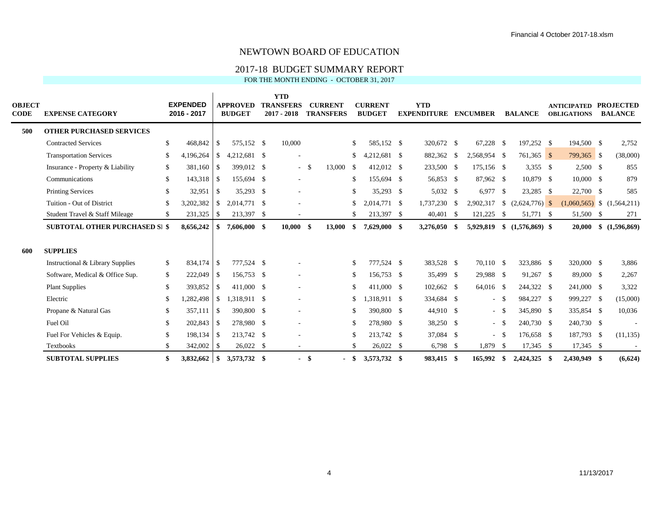## 2017-18 BUDGET SUMMARY REPORT

FOR THE MONTH ENDING - OCTOBER 31, 2017

| <b>OBJECT</b><br><b>CODE</b> | <b>EXPENSE CATEGORY</b>               |               | <b>EXPENDED</b><br>2016 - 2017 |               | <b>APPROVED</b><br><b>BUDGET</b> | <b>YTD</b><br><b>TRANSFERS</b><br>$2017 - 2018$ |      | <b>CURRENT</b><br><b>TRANSFERS</b> |      | <b>CURRENT</b><br><b>BUDGET</b> | <b>YTD</b><br><b>EXPENDITURE</b> |      | <b>ENCUMBER</b> |        | <b>BALANCE</b>    |      | <b>ANTICIPATED</b><br><b>OBLIGATIONS</b> | <b>PROJECTED</b><br><b>BALANCE</b> |
|------------------------------|---------------------------------------|---------------|--------------------------------|---------------|----------------------------------|-------------------------------------------------|------|------------------------------------|------|---------------------------------|----------------------------------|------|-----------------|--------|-------------------|------|------------------------------------------|------------------------------------|
| 500                          | <b>OTHER PURCHASED SERVICES</b>       |               |                                |               |                                  |                                                 |      |                                    |      |                                 |                                  |      |                 |        |                   |      |                                          |                                    |
|                              | <b>Contracted Services</b>            | \$            | 468,842                        | <sup>\$</sup> | 575,152 \$                       | 10,000                                          |      |                                    | \$.  | 585,152 \$                      | 320,672 \$                       |      | $67,228$ \$     |        | 197,252 \$        |      | 194,500 \$                               | 2,752                              |
|                              | <b>Transportation Services</b>        | <sup>\$</sup> | 4,196,264                      | <sup>\$</sup> | 4,212,681 \$                     |                                                 |      |                                    |      | $4,212,681$ \$                  | 882,362                          | - \$ | 2,568,954 \$    |        | $761,365$ \$      |      | 799,365 \$                               | (38,000)                           |
|                              | Insurance - Property & Liability      | -S            | 381,160                        | \$            | 399,012 \$                       | $\sim$                                          | - \$ | 13,000 \$                          |      | 412,012 \$                      | 233,500 \$                       |      | 175,156 \$      |        | $3,355$ \$        |      | $2,500$ \$                               | 855                                |
|                              | Communications                        | \$            | 143,318 \$                     |               | 155,694 \$                       |                                                 |      |                                    | \$.  | 155,694 \$                      | 56,853 \$                        |      | 87,962 \$       |        | 10,879 \$         |      | $10,000 \quad$ \$                        | 879                                |
|                              | <b>Printing Services</b>              | <sup>\$</sup> | $32,951$ \$                    |               | 35,293 \$                        | $\overline{\phantom{a}}$                        |      |                                    |      | 35,293 \$                       | 5,032 \$                         |      | 6,977 \$        |        | 23,285 \$         |      | 22,700 \$                                | 585                                |
|                              | Tuition - Out of District             | <sup>\$</sup> | 3,202,382                      | <sup>\$</sup> | 2,014,771 \$                     |                                                 |      |                                    |      | 2,014,771 \$                    | 1,737,230                        | - \$ | 2,902,317       | -S     | $(2,624,776)$ \$  |      |                                          | $(1,060,565)$ \$ $(1,564,211)$     |
|                              | Student Travel & Staff Mileage        | <sup>\$</sup> | 231,325                        | \$            | 213,397 \$                       |                                                 |      |                                    |      | 213,397 \$                      | $40,401$ \$                      |      | 121,225         | - \$   | 51,771 \$         |      | 51,500 \$                                | 271                                |
|                              | <b>SUBTOTAL OTHER PURCHASED SI \$</b> |               | 8,656,242                      | SS.           | 7,606,000 \$                     | $10,000$ \$                                     |      | 13,000                             | S.   | 7,629,000 \$                    | 3,276,050                        | -S   | 5,929,819       |        | $$(1,576,869)$ \, |      | 20,000                                   | \$(1,596,869)                      |
| 600                          | <b>SUPPLIES</b>                       |               |                                |               |                                  |                                                 |      |                                    |      |                                 |                                  |      |                 |        |                   |      |                                          |                                    |
|                              | Instructional & Library Supplies      | <sup>\$</sup> | 834,174                        | $\sqrt{S}$    | 777,524 \$                       |                                                 |      |                                    | \$   | 777,524 \$                      | 383,528 \$                       |      | 70,110 \$       |        | 323,886 \$        |      | 320,000 \$                               | 3,886                              |
|                              | Software, Medical & Office Sup.       | <sup>\$</sup> | 222,049 \$                     |               | 156,753 \$                       |                                                 |      |                                    | \$   | 156,753 \$                      | 35,499 \$                        |      | 29,988 \$       |        | 91,267 \$         |      | 89,000 \$                                | 2,267                              |
|                              | <b>Plant Supplies</b>                 | \$            | 393,852                        | $\sqrt{3}$    | 411,000 \$                       | $\overline{\phantom{a}}$                        |      |                                    | S    | 411,000 \$                      | 102,662 \$                       |      | 64,016 \$       |        | 244,322 \$        |      | 241,000 \$                               | 3,322                              |
|                              | Electric                              | <sup>\$</sup> | 1,282,498                      | <sup>S</sup>  | 1,318,911 \$                     | $\overline{\phantom{a}}$                        |      |                                    |      | $.318.911$ \$                   | 334,684 \$                       |      | $\sim$          | - \$   | 984,227 \$        |      | 999,227 \$                               | (15,000)                           |
|                              | Propane & Natural Gas                 | \$            | 357.111                        | $\sqrt{3}$    | 390,800 \$                       |                                                 |      |                                    |      | 390,800 \$                      | 44,910 \$                        |      | $\sim$          | - \$   | 345,890 \$        |      | 335,854 \$                               | 10,036                             |
|                              | Fuel Oil                              | \$            | 202,843                        | $\sqrt{S}$    | 278,980 \$                       |                                                 |      |                                    | \$   | 278,980 \$                      | 38,250 \$                        |      |                 | $-$ \$ | 240,730 \$        |      | 240,730 \$                               |                                    |
|                              | Fuel For Vehicles & Equip.            | \$            | 198,134 \$                     |               | 213,742 \$                       |                                                 |      |                                    |      | 213,742 \$                      | 37,084 \$                        |      | $\sim$          | - \$   | 176,658 \$        |      | 187,793 \$                               | (11, 135)                          |
|                              | Textbooks                             | <sup>\$</sup> | $342,002$ \$                   |               | $26,022$ \$                      | $\sim$                                          |      |                                    | \$.  | 26,022 \$                       | $6,798$ \$                       |      | 1,879           | - \$   | $17,345$ \$       |      | 17,345 \$                                |                                    |
|                              | <b>SUBTOTAL SUPPLIES</b>              | \$            | $3,832,662$ \$                 |               | 3,573,732 \$                     | $\blacksquare$                                  | - \$ |                                    | - \$ | 3,573,732 \$                    | 983.415 \$                       |      | 165,992         | -\$    | 2,424,325         | - \$ | 2.430.949 \$                             | (6,624)                            |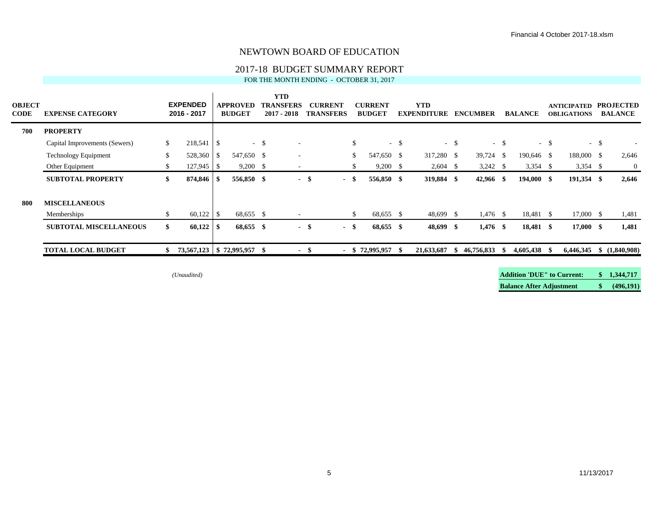## 2017-18 BUDGET SUMMARY REPORT

FOR THE MONTH ENDING - OCTOBER 31, 2017

| <b>OBJECT</b><br><b>CODE</b> | <b>EXPENSE CATEGORY</b>       |     | <b>EXPENDED</b><br>2016 - 2017 |      | <b>APPROVED</b><br><b>BUDGET</b> |        | <b>YTD</b><br><b>TRANSFERS</b><br>$2017 - 2018$ |      | <b>CURRENT</b><br><b>TRANSFERS</b> |     | <b>CURRENT</b><br><b>BUDGET</b> |        | YTD<br><b>EXPENDITURE</b> |        | <b>ENCUMBER</b> |        | <b>BALANCE</b> |        | <b>ANTICIPATED</b><br><b>OBLIGATIONS</b> |        | <b>PROJECTED</b><br><b>BALANCE</b> |
|------------------------------|-------------------------------|-----|--------------------------------|------|----------------------------------|--------|-------------------------------------------------|------|------------------------------------|-----|---------------------------------|--------|---------------------------|--------|-----------------|--------|----------------|--------|------------------------------------------|--------|------------------------------------|
| 700                          | <b>PROPERTY</b>               |     |                                |      |                                  |        |                                                 |      |                                    |     |                                 |        |                           |        |                 |        |                |        |                                          |        |                                    |
|                              | Capital Improvements (Sewers) | \$  | 218,541                        | S    |                                  | $-$ \$ | $\sim$                                          |      |                                    | \$. |                                 | $-$ \$ |                           | $-$ \$ |                 | $-$ \$ |                | $-$ \$ |                                          | $-$ \$ |                                    |
|                              | Technology Equipment          | \$  | 528,360                        | l S  | 547,650 \$                       |        | $\overline{\phantom{a}}$                        |      |                                    | \$  | 547,650 \$                      |        | 317,280 \$                |        | 39,724 \$       |        | 190,646 \$     |        | 188,000 \$                               |        | 2,646                              |
|                              | Other Equipment               | \$  | 127,945                        | -S   | $9,200$ \$                       |        | $\overline{\phantom{a}}$                        |      |                                    |     | $9,200$ \$                      |        | $2,604$ \$                |        | $3,242$ \$      |        | $3,354$ \$     |        | $3,354$ \$                               |        | $\overline{0}$                     |
|                              | <b>SUBTOTAL PROPERTY</b>      | SS. | 874,846                        | - 35 | 556,850 \$                       |        | $\blacksquare$                                  | - \$ | - \$                               |     | 556,850 \$                      |        | 319,884 \$                |        | 42,966 \$       |        | $194,000$ \$   |        | 191,354 \$                               |        | 2,646                              |
| 800                          | <b>MISCELLANEOUS</b>          |     |                                |      |                                  |        |                                                 |      |                                    |     |                                 |        |                           |        |                 |        |                |        |                                          |        |                                    |
|                              | Memberships                   | \$  | 60,122                         | S    | 68,655 \$                        |        | $\overline{\phantom{a}}$                        |      |                                    | \$. | 68,655 \$                       |        | 48,699 \$                 |        | $1,476$ \$      |        | 18,481 \$      |        | 17,000 \$                                |        | 1,481                              |
|                              | <b>SUBTOTAL MISCELLANEOUS</b> | \$  | 60,122                         | - \$ | 68,655 \$                        |        | $\overline{\phantom{a}}$                        | - \$ | $-$ \$                             |     | 68,655 \$                       |        | 48,699 \$                 |        | $1,476$ \$      |        | 18,481 \$      |        | $17,000$ \$                              |        | 1,481                              |
|                              | <b>TOTAL LOCAL BUDGET</b>     |     | 73,567,123   \$72,995,957      |      |                                  | -SI    |                                                 | - 5  |                                    |     | $-$ \$ 72,995,957               | - \$   | 21,633,687                | -86    | 46,756,833      | - SS   | 4,605,438      | - 56   | 6,446,345                                |        | (1,840,908)                        |

*(Unaudited)* **Addition 'DUE" to Current: \$ 1,344,717 Balance After Adjustment \$ (496,191)**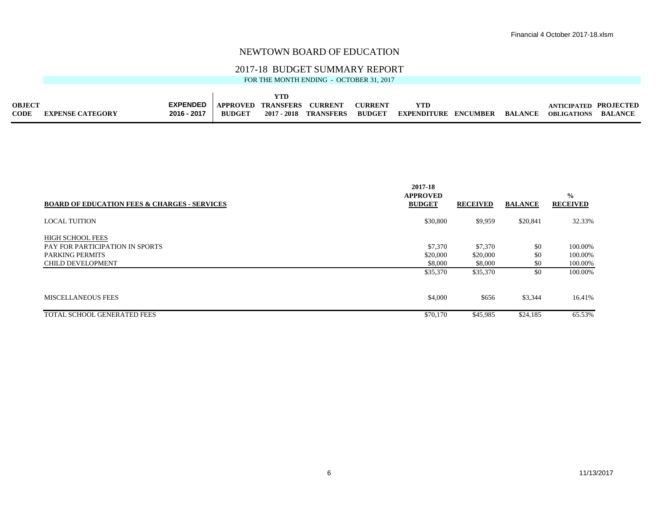#### 2017-18 BUDGET SUMMARY REPORT

FOR THE MONTH ENDING - OCTOBER 31, 2017

 $\mathbf{r}$ 

| <b>OBJECT</b> |                         | <b>EXPENDED</b> | APPROVED      | <b>TRANSFERS</b> | <b>CURRENT</b>        | <b>CURRENT</b> |                    |                 |                | ANTICIPATED        | <b>PROJECTED</b> |
|---------------|-------------------------|-----------------|---------------|------------------|-----------------------|----------------|--------------------|-----------------|----------------|--------------------|------------------|
| <b>CODF</b>   | <b>EXPENSE CATEGORY</b> | 2016 - 2017     | <b>BUDGET</b> |                  | 2017 - 2018 TRANSFERS | <b>BUDGET</b>  | <b>EXPENDITURE</b> | <b>ENCUMBER</b> | <b>BALANCE</b> | <b>OBLIGATIONS</b> | <b>BALANCE</b>   |

|                                                         | 2017-18<br><b>APPROVED</b> |                 |                | $\frac{0}{0}$   |
|---------------------------------------------------------|----------------------------|-----------------|----------------|-----------------|
| <b>BOARD OF EDUCATION FEES &amp; CHARGES - SERVICES</b> | <b>BUDGET</b>              | <b>RECEIVED</b> | <b>BALANCE</b> | <b>RECEIVED</b> |
| <b>LOCAL TUITION</b>                                    | \$30,800                   | \$9,959         | \$20,841       | 32.33%          |
| <b>HIGH SCHOOL FEES</b>                                 |                            |                 |                |                 |
| PAY FOR PARTICIPATION IN SPORTS                         | \$7,370                    | \$7,370         | \$0            | 100.00%         |
| <b>PARKING PERMITS</b>                                  | \$20,000                   | \$20,000        | \$0            | 100.00%         |
| <b>CHILD DEVELOPMENT</b>                                | \$8,000                    | \$8,000         | \$0            | 100.00%         |
|                                                         | \$35,370                   | \$35,370        | \$0            | 100.00%         |
| <b>MISCELLANEOUS FEES</b>                               | \$4,000                    | \$656           | \$3,344        | 16.41%          |
| TOTAL SCHOOL GENERATED FEES                             | \$70,170                   | \$45,985        | \$24,185       | 65.53%          |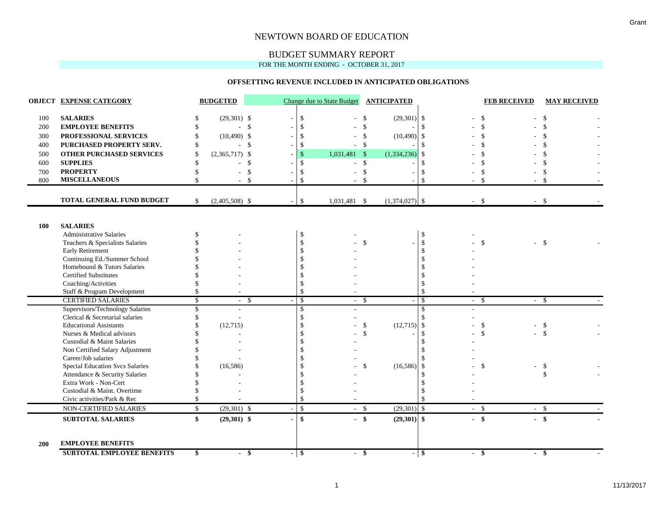## BUDGET SUMMARY REPORT

FOR THE MONTH ENDING - OCTOBER 31, 2017

#### **OFFSETTING REVENUE INCLUDED IN ANTICIPATED OBLIGATIONS**

|     | <b>OBJECT EXPENSE CATEGORY</b>                                |                          | <b>BUDGETED</b>          |                          |                      | <b>Change due to State Budget</b> |                    | <b>ANTICIPATED</b>       |                         | <b>FEB RECEIVED</b> | <b>MAY RECEIVED</b> |
|-----|---------------------------------------------------------------|--------------------------|--------------------------|--------------------------|----------------------|-----------------------------------|--------------------|--------------------------|-------------------------|---------------------|---------------------|
| 100 | <b>SALARIES</b>                                               | \$                       | $(29,301)$ \$            | $\overline{\phantom{a}}$ | $\mathbb{S}$         |                                   | \$                 | $(29,301)$ \$            |                         | \$                  | \$                  |
| 200 | <b>EMPLOYEE BENEFITS</b>                                      | \$                       | $-5$                     | $\overline{\phantom{a}}$ | \$                   |                                   | $\mathcal{S}$      |                          | $\mathbb{S}$            | $\mathcal{S}$       |                     |
| 300 | PROFESSIONAL SERVICES                                         | \$                       | $(10,490)$ \$            | $\overline{\phantom{a}}$ | \$                   |                                   | \$                 | $(10,490)$ \$            |                         | \$                  |                     |
| 400 | PURCHASED PROPERTY SERV.                                      | \$                       | - \$                     | $\overline{\phantom{a}}$ | \$                   |                                   | - \$               |                          | $\mathbb{S}$            |                     |                     |
| 500 | <b>OTHER PURCHASED SERVICES</b>                               | $\mathcal{S}$            | $(2,365,717)$ \$         |                          | $\mathbf{\hat{S}}$   | 1,031,481 \$                      |                    | (1, 334, 236)            | \$                      |                     |                     |
| 600 | <b>SUPPLIES</b>                                               | $\mathcal{S}$            | - \$<br>÷                |                          | $\mathbf{\hat{s}}$   | ÷                                 | \$                 |                          | $\mathcal{S}$           | $\mathcal{S}$       | $\mathbf{\hat{S}}$  |
| 700 | <b>PROPERTY</b>                                               | $\mathcal{S}$            | $\sim$                   | \$                       | \$                   |                                   | \$                 |                          | $\mathcal{S}$           | \$                  | \$                  |
| 800 | <b>MISCELLANEOUS</b>                                          | \$                       | $-5$                     |                          | \$                   |                                   | -\$                |                          | $\mathbf{\$}$           | - \$<br>- \$        |                     |
|     | TOTAL GENERAL FUND BUDGET                                     | \$                       | $(2,405,508)$ \$         |                          | \$                   | 1,031,481 \$                      |                    | $(1,374,027)$ \$         | $-$ \$                  | $-$ \$              |                     |
|     |                                                               |                          |                          |                          |                      |                                   |                    |                          |                         |                     |                     |
| 100 | <b>SALARIES</b>                                               |                          |                          |                          |                      |                                   |                    |                          |                         |                     |                     |
|     | <b>Administrative Salaries</b>                                |                          |                          |                          | \$                   |                                   |                    |                          | -\$                     |                     |                     |
|     | Teachers & Specialists Salaries                               |                          |                          |                          | \$                   |                                   | $\mathbf{\hat{S}}$ |                          | \$                      | \$<br>$-5$          |                     |
|     | <b>Early Retirement</b>                                       |                          |                          |                          | \$                   |                                   |                    |                          | $\mathcal{S}$           |                     |                     |
|     | Continuing Ed./Summer School                                  |                          |                          |                          | \$                   |                                   |                    |                          |                         |                     |                     |
|     | Homebound & Tutors Salaries                                   |                          |                          |                          |                      |                                   |                    |                          |                         |                     |                     |
|     | <b>Certified Substitutes</b>                                  |                          |                          |                          |                      |                                   |                    |                          |                         |                     |                     |
|     | Coaching/Activities                                           |                          |                          |                          | $\mathbf{\hat{S}}$   |                                   |                    |                          |                         |                     |                     |
|     | Staff & Program Development                                   | \$                       |                          |                          | $\mathbf{\hat{s}}$   |                                   |                    |                          |                         |                     |                     |
|     | <b>CERTIFIED SALARIES</b>                                     | $\overline{\mathcal{S}}$ | $-5$                     |                          | $\mathcal{S}$        | $-$ \$                            |                    | $\sim$                   | $\mathcal{S}$<br>$-$ \$ | $-$ \$              |                     |
|     | Supervisors/Technology Salaries                               | \$                       | $\overline{\phantom{a}}$ |                          | $\mathbf{\hat{S}}$   |                                   |                    |                          | $\mathcal{S}$           |                     |                     |
|     | Clerical & Secretarial salaries                               | <sup>\$</sup>            |                          |                          | $\mathbf{\hat{S}}$   |                                   |                    |                          | -S                      |                     |                     |
|     | <b>Educational Assistants</b>                                 |                          | (12,715)                 |                          | \$                   |                                   | \$                 | (12,715)                 | $\sqrt[6]{\frac{1}{2}}$ | \$<br>$-5$          |                     |
|     | Nurses & Medical advisors                                     |                          |                          |                          | \$                   |                                   | $\mathcal{S}$      |                          | $\mathbf{\$}$           | \$                  | $\mathcal{S}$       |
|     | Custodial & Maint Salaries                                    |                          |                          |                          | \$                   |                                   |                    |                          | $\mathcal{S}$           |                     |                     |
|     | Non Certified Salary Adjustment                               |                          |                          |                          |                      |                                   |                    |                          |                         |                     |                     |
|     | Career/Job salaries                                           |                          |                          |                          | $\mathbf{\hat{s}}$   |                                   |                    |                          |                         |                     |                     |
|     | <b>Special Education Svcs Salaries</b>                        |                          | (16,586)                 |                          | \$                   |                                   | $\mathbf{\$}$      | (16, 586)                | -\$                     | \$                  | \$                  |
|     | Attendance & Security Salaries                                |                          |                          |                          |                      |                                   |                    |                          |                         |                     | \$                  |
|     | Extra Work - Non-Cert                                         |                          |                          |                          |                      |                                   |                    |                          |                         |                     |                     |
|     | Custodial & Maint. Overtime                                   |                          |                          |                          | \$.                  |                                   |                    |                          |                         |                     |                     |
|     | Civic activities/Park & Rec                                   | \$                       |                          |                          | $\mathcal{S}$        |                                   |                    |                          | \$                      |                     |                     |
|     | NON-CERTIFIED SALARIES                                        | $\mathbb{S}$             | $(29,301)$ \$            |                          | $\mathbf{\hat{S}}$   | $-$ \$                            |                    | $(29,301)$ \$            | $-$ \$                  | $-$ \$              |                     |
|     | <b>SUBTOTAL SALARIES</b>                                      | \$                       | $(29,301)$ \$            |                          | $\mathbf{s}$         | $-$ \$                            |                    | $(29,301)$ \$            | $-$ \$                  | $-$ \$              |                     |
| 200 | <b>EMPLOYEE BENEFITS</b><br><b>SUBTOTAL EMPLOYEE BENEFITS</b> | \$                       | -\$<br>$\sim$            | $\blacksquare$           | $\overline{\bullet}$ | $-$ \$                            |                    | $\overline{\phantom{0}}$ | \$<br>$-$ \$            | $-$ \$              |                     |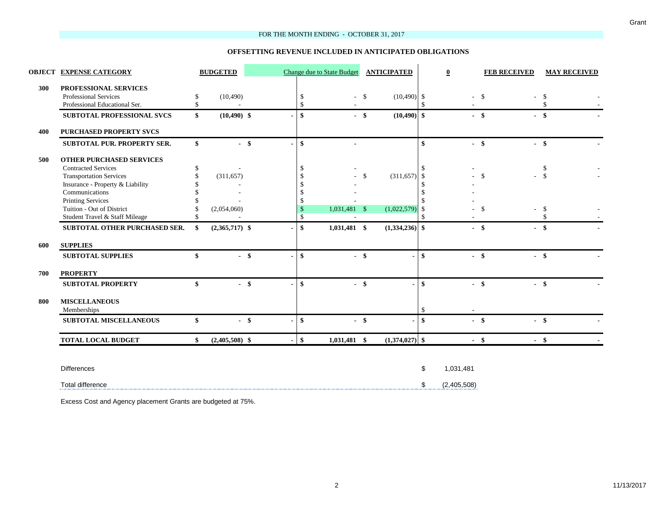#### FOR THE MONTH ENDING - OCTOBER 31, 2017

#### **OFFSETTING REVENUE INCLUDED IN ANTICIPATED OBLIGATIONS**

|     | <b>OBJECT EXPENSE CATEGORY</b>                                                                                                                                                                                                                   |                           | <b>BUDGETED</b>           |  |                                                                                | <b>Change due to State Budget</b> |               | <b>ANTICIPATED</b>        |                                          | $\overline{\mathbf{0}}$  |                               | <b>FEB RECEIVED</b> | <b>MAY RECEIVED</b>                         |
|-----|--------------------------------------------------------------------------------------------------------------------------------------------------------------------------------------------------------------------------------------------------|---------------------------|---------------------------|--|--------------------------------------------------------------------------------|-----------------------------------|---------------|---------------------------|------------------------------------------|--------------------------|-------------------------------|---------------------|---------------------------------------------|
| 300 | PROFESSIONAL SERVICES<br><b>Professional Services</b><br>Professional Educational Ser.                                                                                                                                                           | \$<br>\$                  | (10, 490)                 |  | \$<br>$\mathsf{\$}$                                                            | $-$ \$                            |               | $(10,490)$ \$             | $\mathcal{S}$                            |                          | $-$ \$                        |                     | -\$<br>$\mathcal{S}$                        |
|     | SUBTOTAL PROFESSIONAL SVCS<br><b>PURCHASED PROPERTY SVCS</b>                                                                                                                                                                                     | \$                        | $(10,490)$ \$             |  | \$                                                                             | $-$ \$                            |               | $(10, 490)$ \$            |                                          | $-$ \$                   |                               | $-$ \$              |                                             |
| 400 | <b>SUBTOTAL PUR. PROPERTY SER.</b>                                                                                                                                                                                                               | $\mathbf{s}$              | $-$ \$                    |  | \$                                                                             |                                   |               |                           | \$                                       |                          | $-$ \$                        | $-$ \$              |                                             |
| 500 | <b>OTHER PURCHASED SERVICES</b><br><b>Contracted Services</b><br><b>Transportation Services</b><br>Insurance - Property & Liability<br>Communications<br><b>Printing Services</b><br>Tuition - Out of District<br>Student Travel & Staff Mileage | \$<br>\$<br>$\mathcal{S}$ | (311, 657)<br>(2,054,060) |  | -S<br>-S<br>\$<br>$\frac{1}{2}$<br>$\mathbb{S}$<br>$\sqrt{3}$<br>$\mathcal{S}$ | 1,031,481 \$<br>٠                 | $\mathcal{S}$ | (311, 657)<br>(1,022,579) | -\$<br>-\$<br>\$<br>-\$<br>$\mathcal{S}$ |                          | $\mathbf{s}$<br>$\mathcal{S}$ | $\overline{a}$      | \$<br>$\mathcal{S}$<br>-\$<br>$\mathcal{S}$ |
| 600 | SUBTOTAL OTHER PURCHASED SER.<br><b>SUPPLIES</b>                                                                                                                                                                                                 | \$                        | $(2,365,717)$ \$          |  | $\mathbf{s}$                                                                   | $1,031,481$ \$                    |               | $(1,334,236)$ \$          |                                          |                          | $-$ \$                        | $-$ \$              |                                             |
|     | <b>SUBTOTAL SUPPLIES</b>                                                                                                                                                                                                                         | \$                        | $-$ \$                    |  | $\mathbf{s}$                                                                   | $-$ \$                            |               |                           | -\$                                      |                          | $-$ \$                        | $-$ \$              |                                             |
| 700 | <b>PROPERTY</b>                                                                                                                                                                                                                                  |                           |                           |  |                                                                                |                                   |               |                           |                                          |                          |                               |                     |                                             |
| 800 | <b>SUBTOTAL PROPERTY</b><br><b>MISCELLANEOUS</b><br>Memberships                                                                                                                                                                                  | \$                        | $-$ \$                    |  | \$                                                                             | $-$ \$                            |               |                           | \$<br>$\mathbb{S}$                       |                          | $-$ \$                        | $-$ \$              |                                             |
|     | SUBTOTAL MISCELLANEOUS                                                                                                                                                                                                                           | \$                        | $-$ \$                    |  | \$                                                                             | $-$ \$                            |               | $\blacksquare$            | \$                                       |                          | $-$ \$                        | $-$ \$              |                                             |
|     | <b>TOTAL LOCAL BUDGET</b>                                                                                                                                                                                                                        | \$                        | $(2,405,508)$ \$          |  | \$                                                                             | $1,031,481$ \$                    |               | $(1,374,027)$ \$          |                                          |                          | $-$ \$                        | $-$ \$              |                                             |
|     | <b>Differences</b><br><b>Total difference</b>                                                                                                                                                                                                    |                           |                           |  |                                                                                |                                   |               |                           | \$<br>\$                                 | 1,031,481<br>(2,405,508) |                               |                     |                                             |
|     |                                                                                                                                                                                                                                                  |                           |                           |  |                                                                                |                                   |               |                           |                                          |                          |                               |                     |                                             |

Excess Cost and Agency placement Grants are budgeted at 75%.